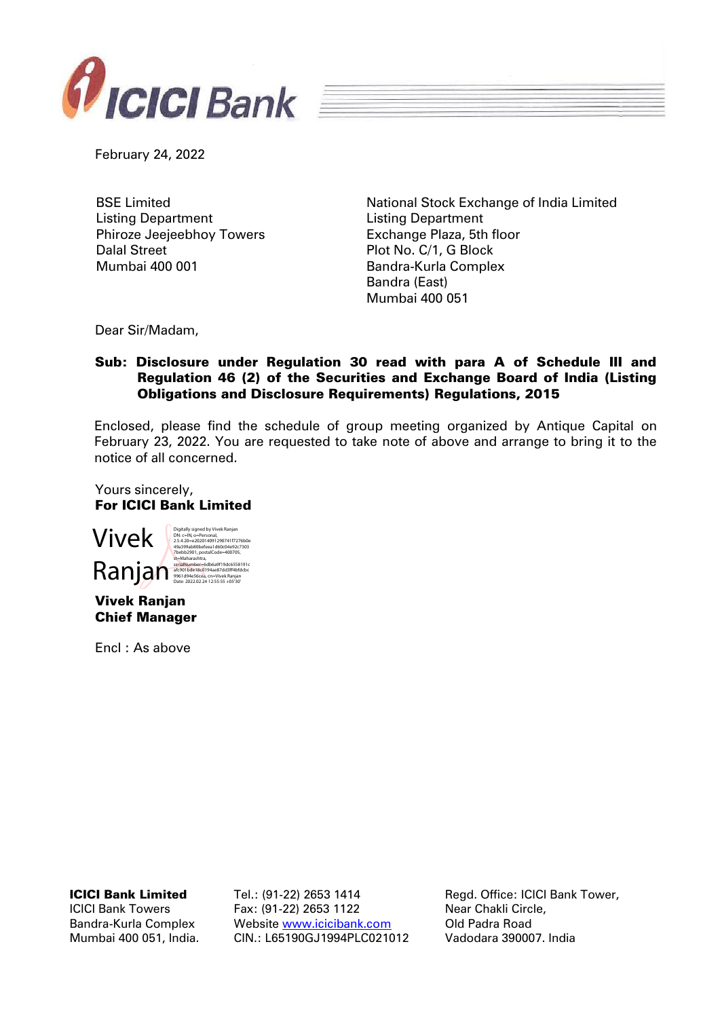

February 24, 2022

BSE Limited Listing Department Phiroze Jeejeebhoy Towers Dalal Street Mumbai 400 001

National Stock Exchange of India Limited Listing Department Exchange Plaza, 5th floor Plot No. C/1, G Block Bandra-Kurla Complex Bandra (East) Mumbai 400 051

Dear Sir/Madam,

## Sub: Disclosure under Regulation 30 read with para A of Schedule III and Regulation 46 (2) of the Securities and Exchange Board of India (Listing Obligations and Disclosure Requirements) Regulations, 2015

Enclosed, please find the schedule of group meeting organized by Antique Capital on February 23, 2022. You are requested to take note of above and arrange to bring it to the notice of all concerned.

Yours sincerely, For ICICI Bank Limited



Vivek Ranjan Chief Manager

Encl : As above

ICICI Bank Limited

ICICI Bank Towers Bandra-Kurla Complex Mumbai 400 051, India. Tel.: (91-22) 2653 1414 Fax: (91-22) 2653 1122 Website [www.icicibank.com](http://www.icicibank.com/) CIN.: L65190GJ1994PLC021012

Regd. Office: ICICI Bank Tower, Near Chakli Circle, Old Padra Road Vadodara 390007. India